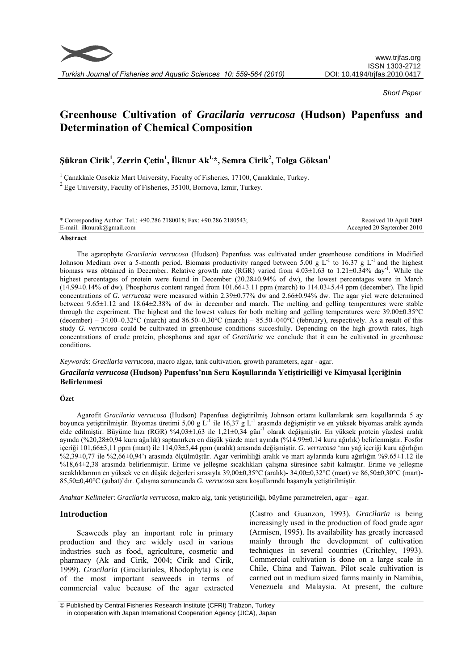

*Turkish Journal of Fisheries and Aquatic Sciences 10: 559-564 (2010)* 

*Short Paper*

# **Greenhouse Cultivation of** *Gracilaria verrucosa* **(Hudson) Papenfuss and Determination of Chemical Composition**

## $\tilde{\mathbf{S}}$ ükran Cirik $^1$ , Zerrin Çetin $^1$ , İlknur Ak $^{1,\ast}$ , Semra Cirik $^2$ , Tolga Göksan $^1$

<sup>1</sup> Çanakkale Onsekiz Mart University, Faculty of Fisheries, 17100, Çanakkale, Turkey.  $2$  Ege University, Faculty of Fisheries, 35100, Bornova, Izmir, Turkey.

| * Corresponding Author: Tel.: +90.286 2180018; Fax: +90.286 2180543; | Received 10 April 2009     |
|----------------------------------------------------------------------|----------------------------|
| E-mail: ilknurak@gmail.com                                           | Accepted 20 September 2010 |
|                                                                      |                            |

#### **Abstract**

The agarophyte *Gracilaria verrucosa* (Hudson) Papenfuss was cultivated under greenhouse conditions in Modified Johnson Medium over a 5-month period. Biomass productivity ranged between 5.00 g  $L^{-1}$  to 16.37 g  $L^{-1}$  and the highest biomass was obtained in December. Relative growth rate (RGR) varied from  $4.03\pm1.63$  to  $1.21\pm0.34\%$  day<sup>-1</sup>. While the highest percentages of protein were found in December (20.28±0.94% of dw), the lowest percentages were in March  $(14.99\pm0.14\%$  of dw). Phosphorus content ranged from  $101.66\pm3.11$  ppm (march) to  $114.03\pm5.44$  ppm (december). The lipid concentrations of *G. verrucosa* were measured within 2.39±0.77% dw and 2.66±0.94% dw. The agar yiel were determined between 9.65±1.12 and 18.64±2.38% of dw in december and march. The melting and gelling temperatures were stable through the experiment. The highest and the lowest values for both melting and gelling temperatures were 39.00±0.35°C (december) – 34.00 $\pm$ 0.32°C (march) and 86.50 $\pm$ 0.30°C (march) – 85.50 $\pm$ 040°C (february), respectively. As a result of this study *G. verrucosa* could be cultivated in greenhouse conditions succesfully. Depending on the high growth rates, high concentrations of crude protein, phosphorus and agar of *Gracilaria* we conclude that it can be cultivated in greenhouse conditions.

*Keywords*: *Gracilaria verrucosa*, macro algae, tank cultivation, growth parameters, agar - agar.

## *Gracilaria verrucosa* **(Hudson) Papenfuss'nın Sera Koşullarında Yetiştiriciliği ve Kimyasal İçeriğinin Belirlenmesi**

## **Özet**

Agarofit *Gracilaria verrucosa* (Hudson) Papenfuss değiştirilmiş Johnson ortamı kullanılarak sera koşullarında 5 ay boyunca yetiştirilmiştir. Biyomas üretimi 5,00 g L<sup>-1</sup> ile 16,37 g L<sup>-1</sup> arasında değişmiştir ve en yüksek biyomas aralık ayında elde edilmiştir. Büyüme hızı (RGR) %4,03±1,63 ile 1,21±0,34 gün<sup>-1</sup> olarak değişmiştir. En yüksek protein yüzdesi aralık ayında (%20,28±0,94 kuru ağırlık) saptanırken en düşük yüzde mart ayında (%14.99±0.14 kuru ağırlık) belirlenmiştir. Fosfor içeriği 101,66±3,11 ppm (mart) ile 114,03±5,44 ppm (aralık) arasında değişmiştir. *G. verrucosa* 'nın yağ içeriği kuru ağırlığın %2,39±0,77 ile %2,66±0,94'ı arasında ölçülmüştür. Agar verimliliği aralık ve mart aylarında kuru ağırlığın %9.65±1.12 ile %18,64±2,38 arasında belirlenmiştir. Erime ve jelleşme sıcaklıkları çalışma süresince sabit kalmıştır. Erime ve jelleşme sıcaklıklarının en yüksek ve en düşük değerleri sırasıyla 39,00±0,35°C (aralık)- 34,00±0,32°C (mart) ve 86,50±0,30°C (mart)- 85,50±0,40°C (şubat)'dır. Çalışma sonuncunda *G. verrucosa* sera koşullarında başarıyla yetiştirilmiştir.

*Anahtar Kelimeler*: *Gracilaria verrucosa*, makro alg, tank yetiştiriciliği, büyüme parametreleri, agar – agar.

## **Introduction**

Seaweeds play an important role in primary production and they are widely used in various industries such as food, agriculture, cosmetic and pharmacy (Ak and Cirik, 2004; Cirik and Cirik, 1999). *Gracilaria* (Gracilariales, Rhodophyta) is one of the most important seaweeds in terms of commercial value because of the agar extracted

(Castro and Guanzon, 1993). *Gracilaria* is being increasingly used in the production of food grade agar (Armisen, 1995). Its availability has greatly increased mainly through the development of cultivation techniques in several countries (Critchley, 1993). Commercial cultivation is done on a large scale in Chile, China and Taiwan. Pilot scale cultivation is carried out in medium sized farms mainly in Namibia, Venezuela and Malaysia. At present, the culture

 <sup>©</sup> Published by Central Fisheries Research Institute (CFRI) Trabzon, Turkey in cooperation with Japan International Cooperation Agency (JICA), Japan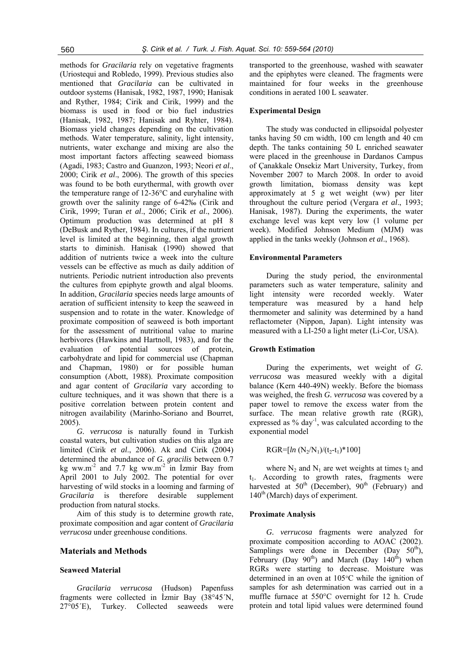methods for *Gracilaria* rely on vegetative fragments (Uriostequi and Robledo, 1999). Previous studies also mentioned that *Gracilaria* can be cultivated in outdoor systems (Hanisak, 1982, 1987, 1990; Hanisak and Ryther, 1984; Cirik and Cirik, 1999) and the biomass is used in food or bio fuel industries (Hanisak, 1982, 1987; Hanisak and Ryhter, 1984). Biomass yield changes depending on the cultivation methods. Water temperature, salinity, light intensity, nutrients, water exchange and mixing are also the most important factors affecting seaweed biomass (Agadi, 1983; Castro and Guanzon, 1993; Neori *et al*., 2000; Cirik *et al*., 2006). The growth of this species was found to be both eurythermal, with growth over the temperature range of 12-36°C and euryhaline with growth over the salinity range of 6-42‰ (Cirik and Cirik, 1999; Turan *et al*., 2006; Cirik *et al*., 2006). Optimum production was determined at pH 8 (DeBusk and Ryther, 1984). In cultures, if the nutrient level is limited at the beginning, then algal growth starts to diminish. Hanisak (1990) showed that addition of nutrients twice a week into the culture vessels can be effective as much as daily addition of nutrients. Periodic nutrient introduction also prevents the cultures from epiphyte growth and algal blooms. In addition, *Gracilaria* species needs large amounts of aeration of sufficient intensity to keep the seaweed in suspension and to rotate in the water. Knowledge of proximate composition of seaweed is both important for the assessment of nutritional value to marine herbivores (Hawkins and Hartnoll, 1983), and for the evaluation of potential sources of protein, carbohydrate and lipid for commercial use (Chapman and Chapman, 1980) or for possible human consumption (Abott, 1988). Proximate composition and agar content of *Gracilaria* vary according to culture techniques, and it was shown that there is a positive correlation between protein content and nitrogen availability (Marinho-Soriano and Bourret, 2005).

*G. verrucosa* is naturally found in Turkish coastal waters, but cultivation studies on this alga are limited (Cirik *et al*., 2006). Ak and Cirik (2004) determined the abundance of *G. gracilis* between 0.7 kg ww.m<sup>-2</sup> and 7.7 kg ww.m<sup>-2</sup> in Izmir Bay from April 2001 to July 2002. The potential for over harvesting of wild stocks in a looming and farming of *Gracilaria* is therefore desirable supplement production from natural stocks.

Aim of this study is to determine growth rate, proximate composition and agar content of *Gracilaria verrucosa* under greenhouse conditions.

## **Materials and Methods**

#### **Seaweed Material**

*Gracilaria verrucosa* (Hudson) Papenfuss fragments were collected in İzmir Bay (38°45´N, 27°05´E), Turkey. Collected seaweeds were transported to the greenhouse, washed with seawater and the epiphytes were cleaned. The fragments were maintained for four weeks in the greenhouse conditions in aerated 100 L seawater.

#### **Experimental Design**

The study was conducted in ellipsoidal polyester tanks having 50 cm width, 100 cm length and 40 cm depth. The tanks containing 50 L enriched seawater were placed in the greenhouse in Dardanos Campus of Çanakkale Onsekiz Mart University, Turkey, from November 2007 to March 2008. In order to avoid growth limitation, biomass density was kept approximately at 5 g wet weight (ww) per liter throughout the culture period (Vergara *et al*., 1993; Hanisak, 1987). During the experiments, the water exchange level was kept very low (1 volume per week). Modified Johnson Medium (MJM) was applied in the tanks weekly (Johnson *et al*., 1968).

#### **Environmental Parameters**

During the study period, the environmental parameters such as water temperature, salinity and light intensity were recorded weekly. Water temperature was measured by a hand help thermometer and salinity was determined by a hand reflactometer (Nippon, Japan). Light intensity was measured with a LI-250 a light meter (Li-Cor, USA).

## **Growth Estimation**

During the experiments, wet weight of *G. verrucosa* was measured weekly with a digital balance (Kern 440-49N) weekly. Before the biomass was weighed, the fresh *G. verrucosa* was covered by a paper towel to remove the excess water from the surface. The mean relative growth rate (RGR), expressed as  $%$  day<sup>-1</sup>, was calculated according to the exponential model

$$
RGR{=}[{\it ln}\ (N_2/N_1)/(t_2{-}t_1)^{*}100]
$$

where  $N_2$  and  $N_1$  are wet weights at times  $t_2$  and  $t_1$ . According to growth rates, fragments were harvested at  $50<sup>th</sup>$  (December),  $90<sup>th</sup>$  (February) and  $140<sup>th</sup>$  (March) days of experiment.

#### **Proximate Analysis**

*G. verrucosa* fragments were analyzed for proximate composition according to AOAC (2002). Samplings were done in December (Day  $50<sup>th</sup>$ ), February (Day  $90^{th}$ ) and March (Day  $140^{th}$ ) when RGRs were starting to decrease. Moisture was determined in an oven at 105°C while the ignition of samples for ash determination was carried out in a muffle furnace at 550°C overnight for 12 h. Crude protein and total lipid values were determined found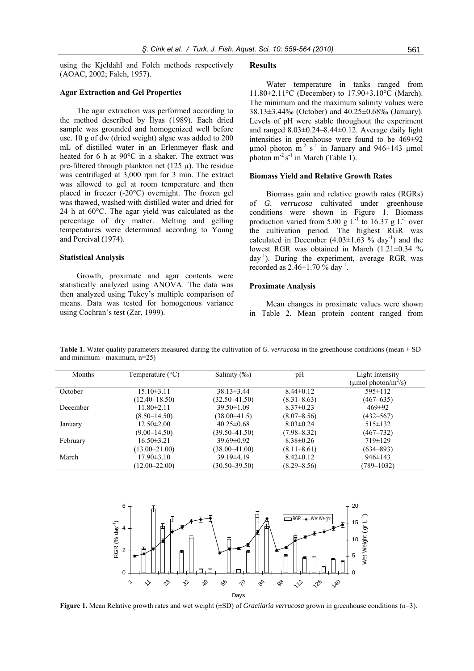using the Kjeldahl and Folch methods respectively (AOAC, 2002; Falch, 1957).

## **Agar Extraction and Gel Properties**

The agar extraction was performed according to the method described by İlyas (1989). Each dried sample was grounded and homogenized well before use. 10 g of dw (dried weight) algae was added to 200 mL of distilled water in an Erlenmeyer flask and heated for 6 h at 90°C in a shaker. The extract was pre-filtered through plankton net (125  $\mu$ ). The residue was centrifuged at 3,000 rpm for 3 min. The extract was allowed to gel at room temperature and then placed in freezer (-20°C) overnight. The frozen gel was thawed, washed with distilled water and dried for 24 h at 60°C. The agar yield was calculated as the percentage of dry matter. Melting and gelling temperatures were determined according to Young and Percival (1974).

## **Statistical Analysis**

Growth, proximate and agar contents were statistically analyzed using ANOVA. The data was then analyzed using Tukey's multiple comparison of means. Data was tested for homogenous variance using Cochran's test (Zar, 1999).

#### **Results**

Water temperature in tanks ranged from 11.80±2.11°C (December) to 17.90±3.10°C (March). The minimum and the maximum salinity values were 38.13±3.44‰ (October) and 40.25±0.68‰ (January). Levels of pH were stable throughout the experiment and ranged  $8.03\pm0.24-8.44\pm0.12$ . Average daily light intensities in greenhouse were found to be 469±92 µmol photon  $m^{-2}$  s<sup>-1</sup> in January and 946±143 µmol photon  $m^2 s^{-1}$  in March (Table 1).

#### **Biomass Yield and Relative Growth Rates**

Biomass gain and relative growth rates (RGRs) of *G. verrucosa* cultivated under greenhouse conditions were shown in Figure 1. Biomass production varied from 5.00 g  $L^{-1}$  to 16.37 g  $L^{-1}$  over the cultivation period. The highest RGR was calculated in December  $(4.03\pm1.63)$  % day<sup>-1</sup>) and the lowest RGR was obtained in March (1.21±0.34 %  $day^{-1}$ ). During the experiment, average RGR was recorded as  $2.46 \pm 1.70$  % day<sup>-1</sup>.

#### **Proximate Analysis**

Mean changes in proximate values were shown in Table 2. Mean protein content ranged from

Months Temperature (°C) Salinity (‰) pH Light Intensity ( $\mu$ mol photon/m<sup>2</sup>/s) October 15.10±3.11 (12.40–18.50) 38.13±3.44 (32.50–41.50) 8.44±0.12  $(8.31 - 8.63)$ 595±112 (467–635) December 11.80±2.11  $(8.50 - 14.50)$ 39.50±1.09 (38.00–41.5) 8.37±0.23  $(8.07 - 8.56)$ 469±92 (432–567) January 12.50±2.00 (9.00–14.50) 40.25±0.68 (39.50–41.50) 8.03±0.24 (7.98–8.32) 515±132 (467–732) February 16.50±3.21 (13.00–21.00) 39.69±0.92 (38.00–41.00) 8.38±0.26  $(8.11 - 8.61)$ 719±129 (634–893) March 17.90 $\pm$ 3.10  $(12.00 - 22.00)$ 39.19±4.19 (30.50–39.50)  $8.42\pm0.12$  $(8.29 - 8.56)$ 946±143 (789–1032)

**Table 1.** Water quality parameters measured during the cultivation of *G. verrucosa* in the greenhouse conditions (mean ± SD and minimum - maximum, n=25)



**Figure 1.** Mean Relative growth rates and wet weight (±SD) of *Gracilaria verrucosa* grown in greenhouse conditions (n=3).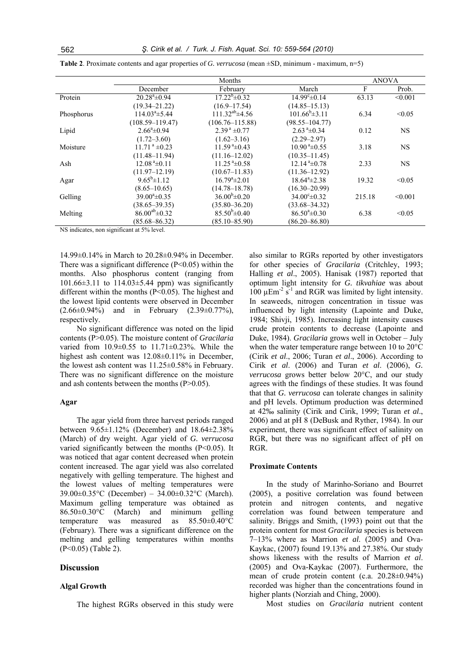|            | Months                      |                                 | <b>ANOVA</b>                |        |           |
|------------|-----------------------------|---------------------------------|-----------------------------|--------|-----------|
|            | December                    | February                        | March                       | F      | Prob.     |
| Protein    | $20.28^{\circ}$ ±0.94       | $17.22^b \pm 0.32$              | $14.99^{\circ} \pm 0.14$    | 63.13  | < 0.001   |
|            | $(19.34 - 21.22)$           | $(16.9 - 17.54)$                | $(14.85 - 15.13)$           |        |           |
| Phosphorus | $114.03^{\circ}$ ± 5.44     | $111.32^{ab}$ ±4.56             | $101.66^{\rm b} \pm 3.11$   | 6.34   | < 0.05    |
|            | $(108.59 - 119.47)$         | $(106.76 - 115.88)$             | $(98.55 - 104.77)$          |        |           |
| Lipid      | $2.66^{\circ}$ ± 0.94       | $2.39^{\text{ a}}\pm 0.77$      | $2.63^{\text{a}}\pm 0.34$   | 0.12   | <b>NS</b> |
|            | $(1.72 - 3.60)$             | $(1.62 - 3.16)$                 | $(2.29 - 2.97)$             |        |           |
| Moisture   | $11.71^{\text{a}} \pm 0.23$ | $11.59^{\text{a}}\pm 0.43$      | $10.90^{\text{ a}}\pm 0.55$ | 3.18   | <b>NS</b> |
|            | $(11.48 - 11.94)$           | $(11.16 - 12.02)$               | $(10.35 - 11.45)$           |        |           |
| Ash        | $12.08a\pm0.11$             | $11.25$ <sup>a</sup> $\pm$ 0.58 | $12.14^{a} \pm 0.78$        | 2.33   | <b>NS</b> |
|            | $(11.97 - 12.19)$           | $(10.67 - 11.83)$               | $(11.36 - 12.92)$           |        |           |
| Agar       | $9.65^{\rm b}$ ± 1.12       | $16.79^{\mathrm{a}}\pm2.01$     | $18.64^a \pm 2.38$          | 19.32  | < 0.05    |
|            | $(8.65 - 10.65)$            | $(14.78 - 18.78)$               | $(16.30 - 20.99)$           |        |           |
| Gelling    | $39.00^a \pm 0.35$          | $36.00^{b} \pm 0.20$            | $34.00^{\circ} \pm 0.32$    | 215.18 | < 0.001   |
|            | $(38.65 - 39.35)$           | $(35.80 - 36.20)$               | $(33.68 - 34.32)$           |        |           |
| Melting    | $86.00^{ab} \pm 0.32$       | $85.50^{b} \pm 0.40$            | $86.50^{\circ} \pm 0.30$    | 6.38   | < 0.05    |
|            | $(85.68 - 86.32)$           | $(85.10 - 85.90)$               | $(86.20 - 86.80)$           |        |           |

**Table 2**. Proximate contents and agar properties of *G. verrucosa* (mean ±SD, minimum - maximum, n=5)

NS indicates, non significant at 5% level.

14.99±0.14% in March to 20.28±0.94% in December. There was a significant difference  $(P<0.05)$  within the months. Also phosphorus content (ranging from 101.66±3.11 to 114.03±5.44 ppm) was significantly different within the months (P<0.05). The highest and the lowest lipid contents were observed in December  $(2.66\pm0.94\%)$  and in February  $(2.39\pm0.77\%)$ , respectively.

No significant difference was noted on the lipid contents (P>0.05). The moisture content of *Gracilaria* varied from  $10.9 \pm 0.55$  to  $11.71 \pm 0.23$ %. While the highest ash content was 12.08±0.11% in December, the lowest ash content was 11.25±0.58% in February. There was no significant difference on the moisture and ash contents between the months (P>0.05).

#### **Agar**

The agar yield from three harvest periods ranged between 9.65±1.12% (December) and 18.64±2.38% (March) of dry weight. Agar yield of *G. verrucosa* varied significantly between the months (P<0.05). It was noticed that agar content decreased when protein content increased. The agar yield was also correlated negatively with gelling temperature. The highest and the lowest values of melting temperatures were 39.00±0.35°C (December) – 34.00±0.32°C (March). Maximum gelling temperature was obtained as 86.50±0.30°C (March) and minimum gelling temperature was measured as 85.50±0.40°C (February). There was a significant difference on the melting and gelling temperatures within months (P<0.05) (Table 2).

## **Discussion**

#### **Algal Growth**

The highest RGRs observed in this study were

also similar to RGRs reported by other investigators for other species of *Gracilaria* (Critchley, 1993; Halling *et al*., 2005). Hanisak (1987) reported that optimum light intensity for *G. tikvahiae* was about 100  $\mu$ Em<sup>-2</sup> s<sup>-1</sup> and RGR was limited by light intensity. In seaweeds, nitrogen concentration in tissue was influenced by light intensity (Lapointe and Duke, 1984; Shivji, 1985). Increasing light intensity causes crude protein contents to decrease (Lapointe and Duke, 1984). *Gracilaria* grows well in October – July when the water temperature range between 10 to 20°C (Cirik *et al*., 2006; Turan *et al*., 2006). According to Cirik *et al*. (2006) and Turan *et al*. (2006), *G. verrucosa* grows better below 20°C, and our study agrees with the findings of these studies. It was found that that *G. verrucosa* can tolerate changes in salinity and pH levels. Optimum production was determined at 42‰ salinity (Cirik and Cirik, 1999; Turan *et al*., 2006) and at pH 8 (DeBusk and Ryther, 1984). In our experiment, there was significant effect of salinity on RGR, but there was no significant affect of pH on RGR.

## **Proximate Contents**

In the study of Marinho-Soriano and Bourret (2005), a positive correlation was found between protein and nitrogen contents, and negative correlation was found between temperature and salinity. Briggs and Smith, (1993) point out that the protein content for most *Gracilaria* species is between 7–13% where as Marrion *et al*. (2005) and Ova-Kaykac, (2007) found 19.13% and 27.38%. Our study shows likeness with the results of Marrion *et al*. (2005) and Ova-Kaykac (2007). Furthermore, the mean of crude protein content (c.a. 20.28±0.94%) recorded was higher than the concentrations found in higher plants (Norziah and Ching, 2000).

Most studies on *Gracilaria* nutrient content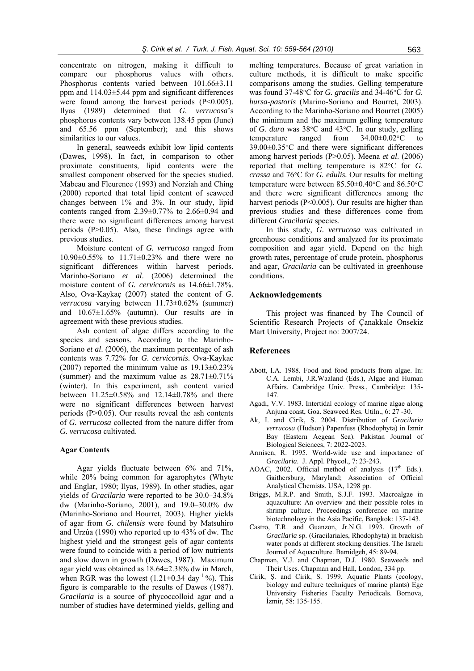concentrate on nitrogen, making it difficult to compare our phosphorus values with others. Phosphorus contents varied between 101.66±3.11 ppm and 114.03±5.44 ppm and significant differences were found among the harvest periods  $(P<0.005)$ . Ilyas (1989) determined that *G. verrucosa*'s phosphorus contents vary between 138.45 ppm (June) and 65.56 ppm (September); and this shows similarities to our values.

In general, seaweeds exhibit low lipid contents (Dawes, 1998). In fact, in comparison to other proximate constituents, lipid contents were the smallest component observed for the species studied. Mabeau and Fleurence (1993) and Norziah and Ching (2000) reported that total lipid content of seaweed changes between 1% and 3%. In our study, lipid contents ranged from  $2.39\pm0.77\%$  to  $2.66\pm0.94$  and there were no significant differences among harvest periods (P>0.05). Also, these findings agree with previous studies.

Moisture content of *G. verrucosa* ranged from 10.90±0.55% to 11.71±0.23% and there were no significant differences within harvest periods. Marinho-Soriano *et al*. (2006) determined the moisture content of *G. cervicornis* as 14.66±1.78%. Also, Ova-Kaykaç (2007) stated the content of *G. verrucosa* varying between 11.73±0.62% (summer) and  $10.67\pm1.65\%$  (autumn). Our results are in agreement with these previous studies.

Ash content of algae differs according to the species and seasons. According to the Marinho-Soriano *et al*. (2006), the maximum percentage of ash contents was 7.72% for *G. cervicornis*. Ova-Kaykac (2007) reported the minimum value as  $19.13\pm0.23\%$ (summer) and the maximum value as  $28.71\pm0.71\%$ (winter). In this experiment, ash content varied between 11.25±0.58% and 12.14±0.78% and there were no significant differences between harvest periods (P>0.05). Our results reveal the ash contents of *G. verrucosa* collected from the nature differ from *G. verrucosa* cultivated.

## **Agar Contents**

Agar yields fluctuate between 6% and 71%, while 20% being common for agarophytes (Whyte and Englar, 1980; Ilyas, 1989). In other studies, agar yields of *Gracilaria* were reported to be 30.0–34.8% dw (Marinho-Soriano, 2001), and 19.0–30.0% dw (Marinho-Soriano and Bourret, 2003). Higher yields of agar from *G. chilensis* were found by Matsuhiro and Urzúa (1990) who reported up to 43% of dw. The highest yield and the strongest gels of agar contents were found to coincide with a period of low nutrients and slow down in growth (Dawes, 1987). Maximum agar yield was obtained as 18.64±2.38% dw in March, when RGR was the lowest  $(1.21 \pm 0.34 \text{ day}^{-1} \%)$ . This figure is comparable to the results of Dawes (1987). *Gracilaria* is a source of phycoccolloid agar and a number of studies have determined yields, gelling and

melting temperatures. Because of great variation in culture methods, it is difficult to make specific comparisons among the studies. Gelling temperature was found 37-48°C for *G. gracilis* and 34-46°C for *G. bursa-pastoris* (Marino-Soriano and Bourret, 2003). According to the Marinho-Soriano and Bourret (2005) the minimum and the maximum gelling temperature of *G. dura* was 38°C and 43°C. In our study, gelling temperature ranged from  $34.00\pm0.02$ °C to 39.00±0.35°C and there were significant differences among harvest periods (P>0.05). Meena *et al*. (2006) reported that melting temperature is 82°C for *G. crassa* and 76°C for *G. edulis.* Our results for melting temperature were between 85.50±0.40°C and 86.50°C and there were significant differences among the harvest periods (P<0.005). Our results are higher than previous studies and these differences come from different *Gracilaria* species.

In this study, *G. verrucosa* was cultivated in greenhouse conditions and analyzed for its proximate composition and agar yield. Depend on the high growth rates, percentage of crude protein, phosphorus and agar, *Gracilaria* can be cultivated in greenhouse conditions.

## **Acknowledgements**

This project was financed by The Council of Scientific Research Projects of Çanakkale Onsekiz Mart University, Project no: 2007/24.

#### **References**

- Abott, I.A. 1988. Food and food products from algae. In: C.A. Lembi, J.R.Waaland (Eds.), Algae and Human Affairs. Cambridge Univ. Press., Cambridge: 135- 147.
- Agadi, V.V. 1983. Intertidal ecology of marine algae along Anjuna coast, Goa. Seaweed Res. Utiln., 6: 27 -30.
- Ak, I. and Cirik, S. 2004. Distribution of *Gracilaria verrucosa* (Hudson) Papenfuss (Rhodophyta) in Izmir Bay (Eastern Aegean Sea). Pakistan Journal of Biological Sciences, 7: 2022-2023.
- Armisen, R. 1995. World-wide use and importance of *Gracilaria*. J. Appl. Phycol., 7: 23-243.
- AOAC, 2002. Official method of analysis  $(17<sup>th</sup>$  Eds.). Gaithersburg, Maryland; Association of Official Analytical Chemists. USA, 1298 pp.
- Briggs, M.R.P. and Smith, S.J.F. 1993. Macroalgae in aquaculture: An overview and their possible roles in shrimp culture. Proceedings conference on marine biotechnology in the Asia Pacific, Bangkok: 137-143.
- Castro, T.R. and Guanzon, Jr.N.G. 1993. Growth of *Gracilaria* sp. (Gracilariales, Rhodophyta) in brackish water ponds at different stocking densities. The Israeli Journal of Aquaculture. Bamidgeh, 45: 89-94.
- Chapman, V.J. and Chapman, D.J. 1980. Seaweeds and Their Uses. Chapman and Hall, London, 334 pp.
- Cirik, Ş. and Cirik, S. 1999. Aquatic Plants (ecology, biology and culture techniques of marine plants) Ege University Fisheries Faculty Periodicals. Bornova, İzmir, 58: 135-155.